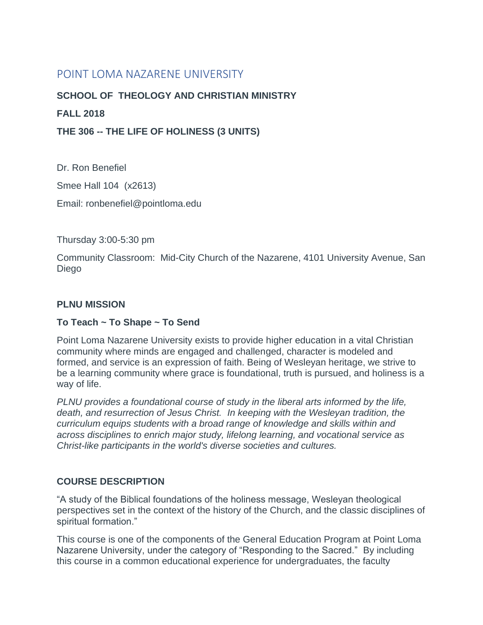# POINT LOMA NAZARENE UNIVERSITY

# **SCHOOL OF THEOLOGY AND CHRISTIAN MINISTRY**

# **FALL 2018**

**THE 306 -- THE LIFE OF HOLINESS (3 UNITS)**

Dr. Ron Benefiel Smee Hall 104 (x2613)

Email: ronbenefiel@pointloma.edu

Thursday 3:00-5:30 pm

Community Classroom: Mid-City Church of the Nazarene, 4101 University Avenue, San Diego

# **PLNU MISSION**

#### **To Teach ~ To Shape ~ To Send**

Point Loma Nazarene University exists to provide higher education in a vital Christian community where minds are engaged and challenged, character is modeled and formed, and service is an expression of faith. Being of Wesleyan heritage, we strive to be a learning community where grace is foundational, truth is pursued, and holiness is a way of life.

*PLNU provides a foundational course of study in the liberal arts informed by the life, death, and resurrection of Jesus Christ. In keeping with the Wesleyan tradition, the curriculum equips students with a broad range of knowledge and skills within and across disciplines to enrich major study, lifelong learning, and vocational service as Christ-like participants in the world's diverse societies and cultures.*

# **COURSE DESCRIPTION**

"A study of the Biblical foundations of the holiness message, Wesleyan theological perspectives set in the context of the history of the Church, and the classic disciplines of spiritual formation."

This course is one of the components of the General Education Program at Point Loma Nazarene University, under the category of "Responding to the Sacred." By including this course in a common educational experience for undergraduates, the faculty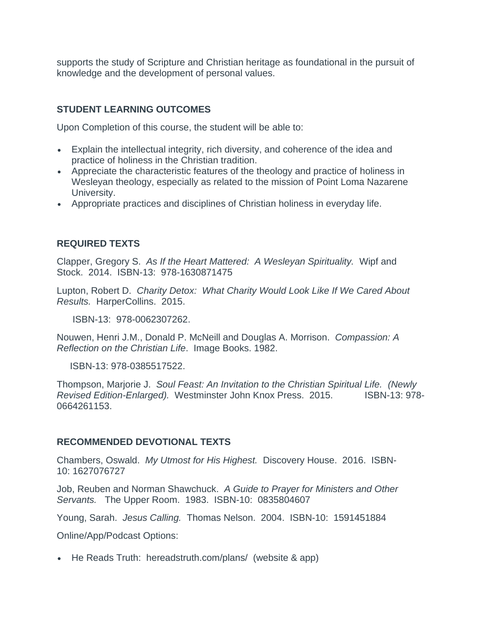supports the study of Scripture and Christian heritage as foundational in the pursuit of knowledge and the development of personal values.

# **STUDENT LEARNING OUTCOMES**

Upon Completion of this course, the student will be able to:

- Explain the intellectual integrity, rich diversity, and coherence of the idea and practice of holiness in the Christian tradition.
- Appreciate the characteristic features of the theology and practice of holiness in Wesleyan theology, especially as related to the mission of Point Loma Nazarene University.
- Appropriate practices and disciplines of Christian holiness in everyday life.

# **REQUIRED TEXTS**

Clapper, Gregory S. *As If the Heart Mattered: A Wesleyan Spirituality.* Wipf and Stock. 2014. ISBN-13: 978-1630871475

Lupton, Robert D. *Charity Detox: What Charity Would Look Like If We Cared About Results.* HarperCollins. 2015.

ISBN-13: 978-0062307262.

Nouwen, Henri J.M., Donald P. McNeill and Douglas A. Morrison. *Compassion: A Reflection on the Christian Life*. Image Books. 1982.

ISBN-13: 978-0385517522.

Thompson, Marjorie J. *Soul Feast: An Invitation to the Christian Spiritual Life. (Newly Revised Edition-Enlarged).* Westminster John Knox Press. 2015.ISBN-13: 978- 0664261153.

#### **RECOMMENDED DEVOTIONAL TEXTS**

Chambers, Oswald. *My Utmost for His Highest.* Discovery House. 2016. ISBN-10: 1627076727

Job, Reuben and Norman Shawchuck. *A Guide to Prayer for Ministers and Other Servants.* The Upper Room. 1983. ISBN-10: 0835804607

Young, Sarah. *Jesus Calling.* Thomas Nelson. 2004. ISBN-10: 1591451884

Online/App/Podcast Options:

• He Reads Truth: hereadstruth.com/plans/ (website & app)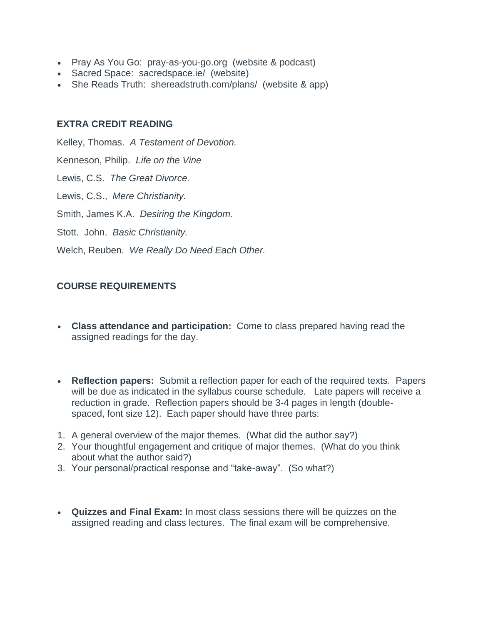- Pray As You Go: pray-as-you-go.org (website & podcast)
- Sacred Space: sacredspace.ie/ (website)
- She Reads Truth: shereadstruth.com/plans/ (website & app)

#### **EXTRA CREDIT READING**

Kelley, Thomas. *A Testament of Devotion.*  Kenneson, Philip. *Life on the Vine* Lewis, C.S. *The Great Divorce.*  Lewis, C.S., *Mere Christianity.* Smith, James K.A. *Desiring the Kingdom.* Stott. John. *Basic Christianity.*  Welch, Reuben. *We Really Do Need Each Other.*

# **COURSE REQUIREMENTS**

- **Class attendance and participation:** Come to class prepared having read the assigned readings for the day.
- **Reflection papers:** Submit a reflection paper for each of the required texts. Papers will be due as indicated in the syllabus course schedule. Late papers will receive a reduction in grade. Reflection papers should be 3-4 pages in length (doublespaced, font size 12). Each paper should have three parts:
- 1. A general overview of the major themes. (What did the author say?)
- 2. Your thoughtful engagement and critique of major themes. (What do you think about what the author said?)
- 3. Your personal/practical response and "take-away". (So what?)
- **Quizzes and Final Exam:** In most class sessions there will be quizzes on the assigned reading and class lectures. The final exam will be comprehensive.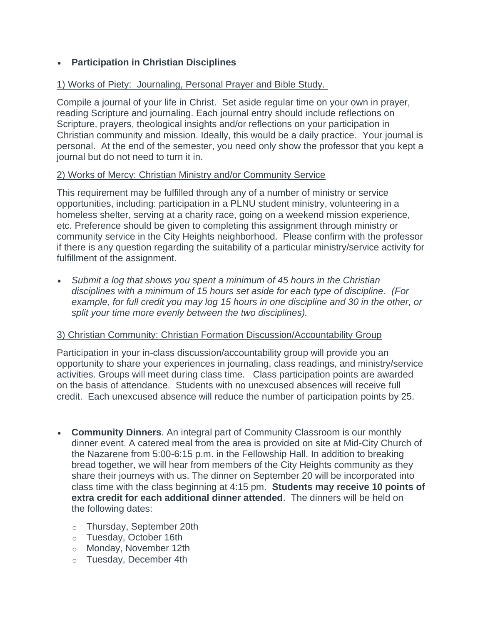# • **Participation in Christian Disciplines**

# 1) Works of Piety: Journaling, Personal Prayer and Bible Study.

Compile a journal of your life in Christ. Set aside regular time on your own in prayer, reading Scripture and journaling. Each journal entry should include reflections on Scripture, prayers, theological insights and/or reflections on your participation in Christian community and mission. Ideally, this would be a daily practice. Your journal is personal. At the end of the semester, you need only show the professor that you kept a journal but do not need to turn it in.

#### 2) Works of Mercy: Christian Ministry and/or Community Service

This requirement may be fulfilled through any of a number of ministry or service opportunities, including: participation in a PLNU student ministry, volunteering in a homeless shelter, serving at a charity race, going on a weekend mission experience, etc. Preference should be given to completing this assignment through ministry or community service in the City Heights neighborhood. Please confirm with the professor if there is any question regarding the suitability of a particular ministry/service activity for fulfillment of the assignment.

• *Submit a log that shows you spent a minimum of 45 hours in the Christian disciplines with a minimum of 15 hours set aside for each type of discipline. (For example, for full credit you may log 15 hours in one discipline and 30 in the other, or split your time more evenly between the two disciplines).*

# 3) Christian Community: Christian Formation Discussion/Accountability Group

Participation in your in-class discussion/accountability group will provide you an opportunity to share your experiences in journaling, class readings, and ministry/service activities. Groups will meet during class time. Class participation points are awarded on the basis of attendance. Students with no unexcused absences will receive full credit. Each unexcused absence will reduce the number of participation points by 25.

- **Community Dinners**. An integral part of Community Classroom is our monthly dinner event. A catered meal from the area is provided on site at Mid-City Church of the Nazarene from 5:00-6:15 p.m. in the Fellowship Hall. In addition to breaking bread together, we will hear from members of the City Heights community as they share their journeys with us. The dinner on September 20 will be incorporated into class time with the class beginning at 4:15 pm. **Students may receive 10 points of extra credit for each additional dinner attended**. The dinners will be held on the following dates:
	- o Thursday, September 20th
	- o Tuesday, October 16th
	- o Monday, November 12th
	- o Tuesday, December 4th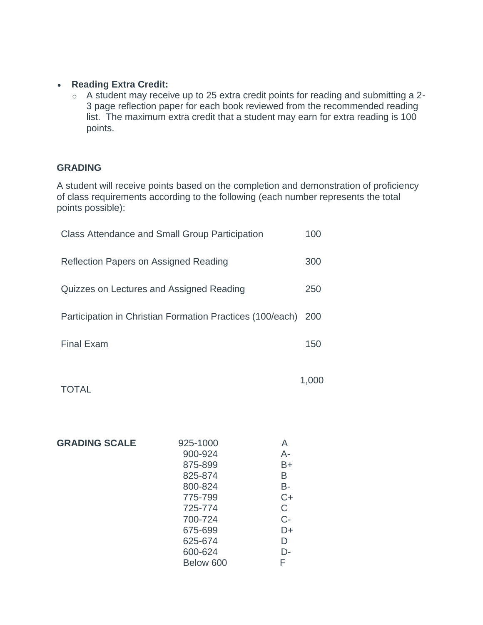#### • **Reading Extra Credit:**

o A student may receive up to 25 extra credit points for reading and submitting a 2- 3 page reflection paper for each book reviewed from the recommended reading list. The maximum extra credit that a student may earn for extra reading is 100 points.

#### **GRADING**

A student will receive points based on the completion and demonstration of proficiency of class requirements according to the following (each number represents the total points possible):

| <b>Class Attendance and Small Group Participation</b>         | 100 |
|---------------------------------------------------------------|-----|
| Reflection Papers on Assigned Reading                         | 300 |
| Quizzes on Lectures and Assigned Reading                      | 250 |
| Participation in Christian Formation Practices (100/each) 200 |     |
| <b>Final Exam</b>                                             | 150 |
|                                                               |     |

|              | 1,000 |
|--------------|-------|
| <b>TOTAL</b> |       |

| <b>GRADING SCALE</b> | 925-1000  | A    |
|----------------------|-----------|------|
|                      | 900-924   | A-   |
|                      | 875-899   | B+   |
|                      | 825-874   | B    |
|                      | 800-824   | B-   |
|                      | 775-799   | $C+$ |
|                      | 725-774   | C    |
|                      | 700-724   | $C-$ |
|                      | 675-699   | D+   |
|                      | 625-674   | D    |
|                      | 600-624   | D-   |
|                      | Below 600 | F    |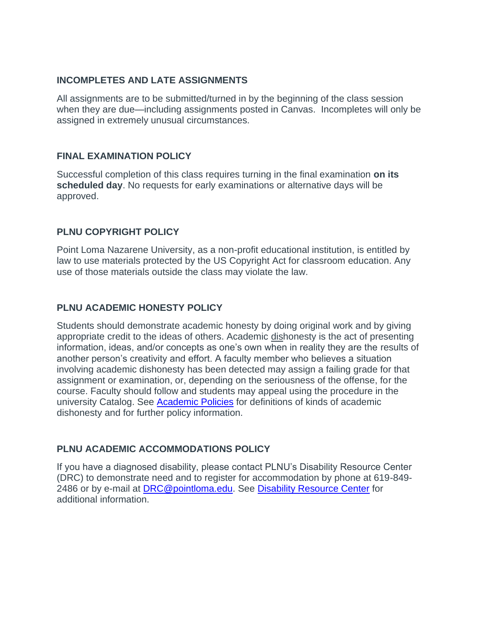#### **INCOMPLETES AND LATE ASSIGNMENTS**

All assignments are to be submitted/turned in by the beginning of the class session when they are due—including assignments posted in Canvas. Incompletes will only be assigned in extremely unusual circumstances.

# **FINAL EXAMINATION POLICY**

Successful completion of this class requires turning in the final examination **on its scheduled day**. No requests for early examinations or alternative days will be approved.

# **PLNU COPYRIGHT POLICY**

Point Loma Nazarene University, as a non-profit educational institution, is entitled by law to use materials protected by the US Copyright Act for classroom education. Any use of those materials outside the class may violate the law.

# **PLNU ACADEMIC HONESTY POLICY**

Students should demonstrate academic honesty by doing original work and by giving appropriate credit to the ideas of others. Academic dishonesty is the act of presenting information, ideas, and/or concepts as one's own when in reality they are the results of another person's creativity and effort. A faculty member who believes a situation involving academic dishonesty has been detected may assign a failing grade for that assignment or examination, or, depending on the seriousness of the offense, for the course. Faculty should follow and students may appeal using the procedure in the university Catalog. See [Academic Policies](http://catalog.pointloma.edu/content.php?catoid=18&navoid=1278) for definitions of kinds of academic dishonesty and for further policy information.

# **PLNU ACADEMIC ACCOMMODATIONS POLICY**

If you have a diagnosed disability, please contact PLNU's Disability Resource Center (DRC) to demonstrate need and to register for accommodation by phone at 619-849- 2486 or by e-mail at [DRC@pointloma.edu.](mailto:DRC@pointloma.edu) See [Disability Resource Center](http://www.pointloma.edu/experience/offices/administrative-offices/academic-advising-office/disability-resource-center) for additional information.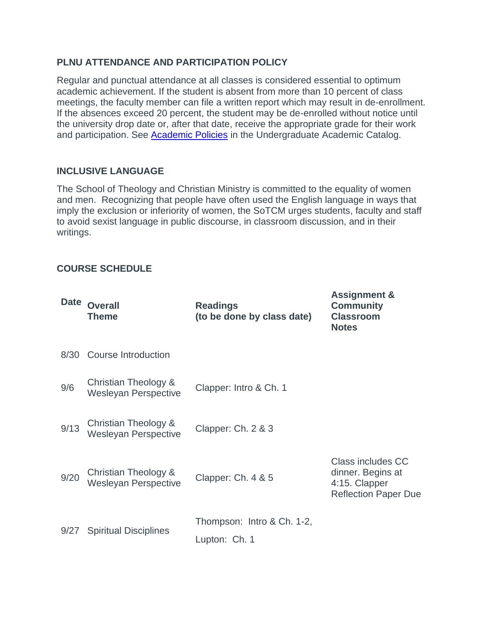# **PLNU ATTENDANCE AND PARTICIPATION POLICY**

Regular and punctual attendance at all classes is considered essential to optimum academic achievement. If the student is absent from more than 10 percent of class meetings, the faculty member can file a written report which may result in de-enrollment. If the absences exceed 20 percent, the student may be de-enrolled without notice until the university drop date or, after that date, receive the appropriate grade for their work and participation. See [Academic Policies](http://catalog.pointloma.edu/content.php?catoid=18&navoid=1278) in the Undergraduate Academic Catalog.

# **INCLUSIVE LANGUAGE**

The School of Theology and Christian Ministry is committed to the equality of women and men. Recognizing that people have often used the English language in ways that imply the exclusion or inferiority of women, the SoTCM urges students, faculty and staff to avoid sexist language in public discourse, in classroom discussion, and in their writings.

**Assignment &** 

# **COURSE SCHEDULE**

| <b>Date</b> | <b>Overall</b><br><b>Theme</b>                      | <b>Readings</b><br>(to be done by class date) | ASSIYIIIIIEIIL O<br><b>Community</b><br><b>Classroom</b><br><b>Notes</b>                      |
|-------------|-----------------------------------------------------|-----------------------------------------------|-----------------------------------------------------------------------------------------------|
| 8/30        | Course Introduction                                 |                                               |                                                                                               |
| 9/6         | Christian Theology &<br><b>Wesleyan Perspective</b> | Clapper: Intro & Ch. 1                        |                                                                                               |
| 9/13        | Christian Theology &<br><b>Wesleyan Perspective</b> | Clapper: Ch. 2 & 3                            |                                                                                               |
| 9/20        | Christian Theology &<br><b>Wesleyan Perspective</b> | Clapper: Ch. 4 & 5                            | <b>Class includes CC</b><br>dinner. Begins at<br>4:15. Clapper<br><b>Reflection Paper Due</b> |
| 9/27        | <b>Spiritual Disciplines</b>                        | Thompson: Intro & Ch. 1-2,<br>Lupton: Ch. 1   |                                                                                               |